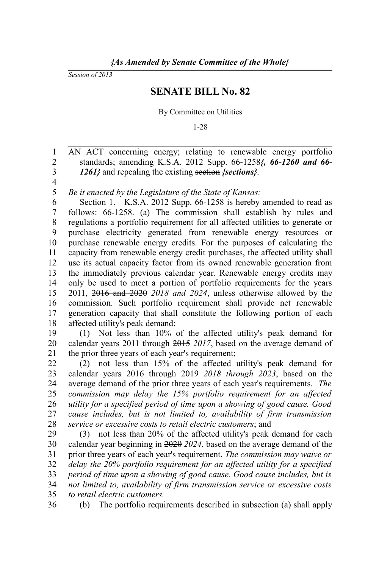*Session of 2013*

## **SENATE BILL No. 82**

## By Committee on Utilities

1-28

AN ACT concerning energy; relating to renewable energy portfolio standards; amending K.S.A. 2012 Supp. 66-1258*{, 66-1260 and 66- 1261}* and repealing the existing section *{sections}*. 1 2 3

4

*Be it enacted by the Legislature of the State of Kansas:* 5

Section 1. K.S.A. 2012 Supp. 66-1258 is hereby amended to read as follows: 66-1258. (a) The commission shall establish by rules and regulations a portfolio requirement for all affected utilities to generate or purchase electricity generated from renewable energy resources or purchase renewable energy credits. For the purposes of calculating the capacity from renewable energy credit purchases, the affected utility shall use its actual capacity factor from its owned renewable generation from the immediately previous calendar year. Renewable energy credits may only be used to meet a portion of portfolio requirements for the years 2011, 2016 and 2020 *2018 and 2024*, unless otherwise allowed by the commission. Such portfolio requirement shall provide net renewable generation capacity that shall constitute the following portion of each affected utility's peak demand: 6 7 8 9 10 11 12 13 14 15 16 17 18

(1) Not less than 10% of the affected utility's peak demand for calendar years 2011 through 2015 *2017*, based on the average demand of the prior three years of each year's requirement; 19 20 21

(2) not less than 15% of the affected utility's peak demand for calendar years 2016 through 2019 *2018 through 2023*, based on the average demand of the prior three years of each year's requirements*. The commission may delay the 15% portfolio requirement for an affected utility for a specified period of time upon a showing of good cause. Good cause includes, but is not limited to, availability of firm transmission service or excessive costs to retail electric customers*; and 22 23 24 25 26 27 28

(3) not less than 20% of the affected utility's peak demand for each calendar year beginning in 2020 *2024*, based on the average demand of the prior three years of each year's requirement. *The commission may waive or delay the 20% portfolio requirement for an affected utility for a specified period of time upon a showing of good cause. Good cause includes, but is not limited to, availability of firm transmission service or excessive costs to retail electric customers.* 29 30 31 32 33 34 35

(b) The portfolio requirements described in subsection (a) shall apply 36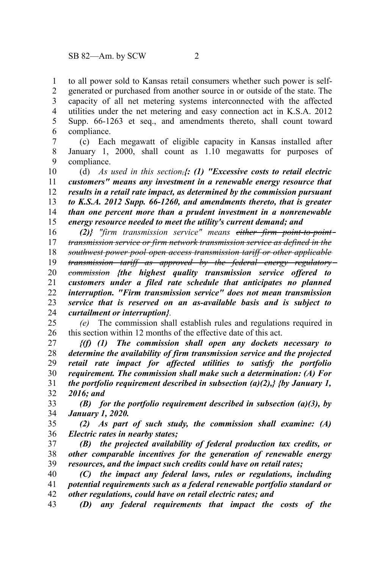to all power sold to Kansas retail consumers whether such power is selfgenerated or purchased from another source in or outside of the state. The capacity of all net metering systems interconnected with the affected utilities under the net metering and easy connection act in K.S.A. 2012 Supp. 66-1263 et seq., and amendments thereto, shall count toward compliance. 1 2 3 4 5 6

(c) Each megawatt of eligible capacity in Kansas installed after January 1, 2000, shall count as 1.10 megawatts for purposes of compliance. 7 8 9

(d) *As used in this section,{: (1) "Excessive costs to retail electric customers" means any investment in a renewable energy resource that results in a retail rate impact, as determined by the commission pursuant to K.S.A. 2012 Supp. 66-1260, and amendments thereto, that is greater than one percent more than a prudent investment in a nonrenewable energy resource needed to meet the utility's current demand; and* 10 11 12 13 14 15

*(2)} "firm transmission service" means either firm point-to-point transmission service or firm network transmission service as defined in the southwest power pool open access transmission tariff or other applicable transmission tariff as approved by the federal energy regulatory commission {the highest quality transmission service offered to customers under a filed rate schedule that anticipates no planned interruption. "Firm transmission service" does not mean transmission service that is reserved on an as-available basis and is subject to curtailment or interruption}.* 16 17 18 19 20 21 22 23 24

*(e)* The commission shall establish rules and regulations required in this section within 12 months of the effective date of this act. 25 26

*{(f) (1) The commission shall open any dockets necessary to determine the availability of firm transmission service and the projected retail rate impact for affected utilities to satisfy the portfolio requirement. The commission shall make such a determination: (A) For the portfolio requirement described in subsection (a)(2),} {by January 1, 2016; and*  27 28 29 30 31 32

*(B) for the portfolio requirement described in subsection (a)(3), by January 1, 2020.* 33 34

*(2) As part of such study, the commission shall examine: (A) Electric rates in nearby states;* 35 36

*(B) the projected availability of federal production tax credits, or other comparable incentives for the generation of renewable energy resources, and the impact such credits could have on retail rates;* 37 38 39

*(C) the impact any federal laws, rules or regulations, including potential requirements such as a federal renewable portfolio standard or other regulations, could have on retail electric rates; and* 40 41 42

*(D) any federal requirements that impact the costs of the* 43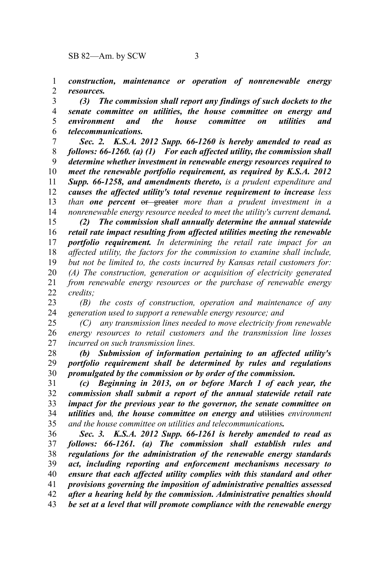*construction, maintenance or operation of nonrenewable energy resources.* 1 2

*(3) The commission shall report any findings of such dockets to the senate committee on utilities, the house committee on energy and environment and the house committee on utilities and telecommunications.* 3 4 5 6

*Sec. 2. K.S.A. 2012 Supp. 66-1260 is hereby amended to read as follows: 66-1260. (a) (1) For each affected utility, the commission shall determine whether investment in renewable energy resources required to meet the renewable portfolio requirement, as required by K.S.A. 2012 Supp. 66-1258, and amendments thereto, is a prudent expenditure and causes the affected utility's total revenue requirement to increase less than one percent* or greater *more than a prudent investment in a nonrenewable energy resource needed to meet the utility's current demand.* 7 8 9 10 11 12 13 14

*(2) The commission shall annually determine the annual statewide retail rate impact resulting from affected utilities meeting the renewable portfolio requirement. In determining the retail rate impact for an affected utility, the factors for the commission to examine shall include, but not be limited to, the costs incurred by Kansas retail customers for: (A) The construction, generation or acquisition of electricity generated from renewable energy resources or the purchase of renewable energy credits;* 15 16 17 18 19 20 21 22

*(B) the costs of construction, operation and maintenance of any generation used to support a renewable energy resource; and* 23 24

*(C) any transmission lines needed to move electricity from renewable energy resources to retail customers and the transmission line losses incurred on such transmission lines.* 25 26 27

*(b) Submission of information pertaining to an affected utility's portfolio requirement shall be determined by rules and regulations promulgated by the commission or by order of the commission.* 28 29 30

*(c) Beginning in 2013, on or before March 1 of each year, the commission shall submit a report of the annual statewide retail rate impact for the previous year to the governor, the senate committee on utilities* and*, the house committee on energy and* utilities *environment and the house committee on utilities and telecommunications.* 31 32 33 34 35

*Sec. 3. K.S.A. 2012 Supp. 66-1261 is hereby amended to read as follows: 66-1261. (a) The commission shall establish rules and regulations for the administration of the renewable energy standards act, including reporting and enforcement mechanisms necessary to ensure that each affected utility complies with this standard and other provisions governing the imposition of administrative penalties assessed after a hearing held by the commission. Administrative penalties should be set at a level that will promote compliance with the renewable energy* 36 37 38 39 40 41 42 43